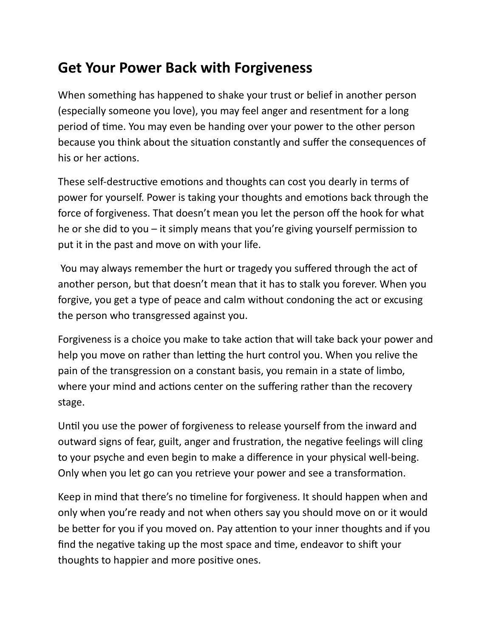## **Get Your Power Back with Forgiveness**

When something has happened to shake your trust or belief in another person (especially someone you love), you may feel anger and resentment for a long period of time. You may even be handing over your power to the other person because you think about the situation constantly and suffer the consequences of his or her actions.

These self-destructive emotions and thoughts can cost you dearly in terms of power for yourself. Power is taking your thoughts and emotions back through the force of forgiveness. That doesn't mean you let the person off the hook for what he or she did to you  $-$  it simply means that you're giving yourself permission to put it in the past and move on with your life.

You may always remember the hurt or tragedy you suffered through the act of another person, but that doesn't mean that it has to stalk you forever. When you forgive, you get a type of peace and calm without condoning the act or excusing the person who transgressed against you.

Forgiveness is a choice you make to take action that will take back your power and help you move on rather than letting the hurt control you. When you relive the pain of the transgression on a constant basis, you remain in a state of limbo, where your mind and actions center on the suffering rather than the recovery stage.

Until you use the power of forgiveness to release yourself from the inward and outward signs of fear, guilt, anger and frustration, the negative feelings will cling to your psyche and even begin to make a difference in your physical well-being. Only when you let go can you retrieve your power and see a transformation.

Keep in mind that there's no timeline for forgiveness. It should happen when and only when you're ready and not when others say you should move on or it would be better for you if you moved on. Pay attention to your inner thoughts and if you find the negative taking up the most space and time, endeavor to shift your thoughts to happier and more positive ones.